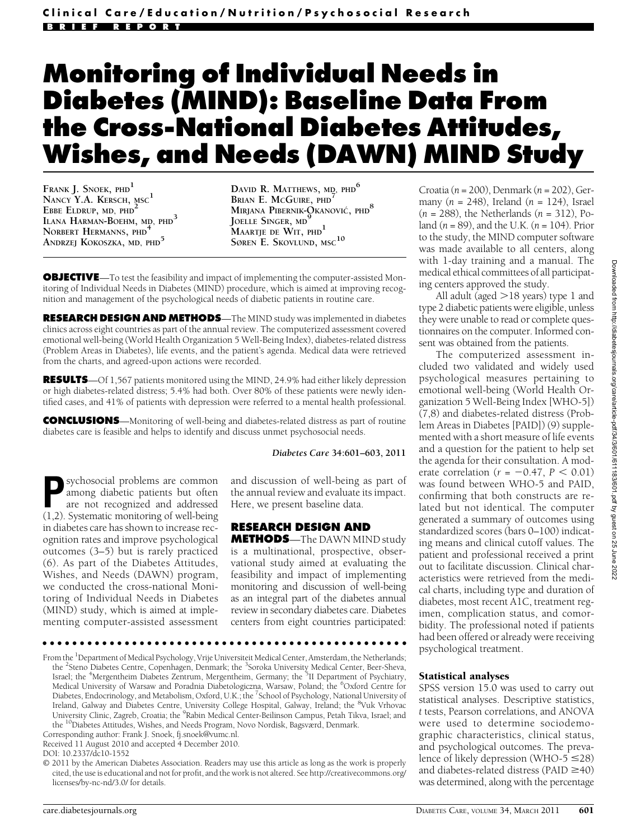# Monitoring of Individual Needs in Diabetes (MIND): Baseline Data From the Cross-National Diabetes Attitudes, Wishes, and Needs (DAWN) MIND Study

FRANK J. SNOEK, PHD<sup>1</sup> NANCY Y.A. KERSCH, MSC<sup>1</sup> EBBE ELDRUP, MD, PHD<sup>2</sup> ILANA HARMAN-BOEHM, MD, PHD<sup>3</sup> NORBERT HERMANNS, PHD<sup>4</sup> ANDRZEJ KOKOSZKA, MD, PHD<sup>5</sup>

DAVID R. MATTHEWS, MD, PHD<sup>6</sup> BRIAN E. McGUIRE, PHD<sup>7</sup> MIRJANA PIBERNIK-OKANOVIĆ, PHD<sup>8</sup> Joelle Singer, md<sup>9</sup> MAARTJE DE WIT, PHD<sup>1</sup> SØREN E. SKOVLUND, MSC $^{10}$ 

**OBJECTIVE**—To test the feasibility and impact of implementing the computer-assisted Monitoring of Individual Needs in Diabetes (MIND) procedure, which is aimed at improving recognition and management of the psychological needs of diabetic patients in routine care.

RESEARCH DESIGN AND METHODS—The MIND study was implemented in diabetes clinics across eight countries as part of the annual review. The computerized assessment covered emotional well-being (World Health Organization 5 Well-Being Index), diabetes-related distress (Problem Areas in Diabetes), life events, and the patient's agenda. Medical data were retrieved from the charts, and agreed-upon actions were recorded.

RESULTS—Of 1,567 patients monitored using the MIND, 24.9% had either likely depression or high diabetes-related distress; 5.4% had both. Over 80% of these patients were newly identified cases, and 41% of patients with depression were referred to a mental health professional.

CONCLUSIONS—Monitoring of well-being and diabetes-related distress as part of routine diabetes care is feasible and helps to identify and discuss unmet psychosocial needs.

#### Diabetes Care 34:601–603, 2011

sychosocial problems are common among diabetic patients but often are not recognized and addressed (1,2). Systematic monitoring of well-being in diabetes care has shown to increase recognition rates and improve psychological outcomes (3–5) but is rarely practiced (6). As part of the Diabetes Attitudes, Wishes, and Needs (DAWN) program, we conducted the cross-national Monitoring of Individual Needs in Diabetes (MIND) study, which is aimed at implementing computer-assisted assessment

and discussion of well-being as part of the annual review and evaluate its impact. Here, we present baseline data.

# RESEARCH DESIGN AND

METHODS—The DAWN MIND study is a multinational, prospective, observational study aimed at evaluating the feasibility and impact of implementing monitoring and discussion of well-being as an integral part of the diabetes annual review in secondary diabetes care. Diabetes centers from eight countries participated:

ccccccccccccccccccccccccccccccccccccccccccccccccc

From the <sup>1</sup>Department of Medical Psychology, Vrije Universiteit Medical Center, Amsterdam, the Netherlands; the <sup>2</sup>Steno Diabetes Centre, Copenhagen, Denmark; the <sup>3</sup>Soroka University Medical Center, Beer-Sheva,<br>Israel; the <sup>4</sup>Mergentheim Diabetes Zentrum, Mergentheim, Germany; the <sup>5</sup>II Department of Psychiatry, Medical University of Warsaw and Poradnia Diabetologiczna, Warsaw, Poland; the <sup>6</sup>Oxford Centre for Diabetes, Endocrinology, and Metabolism, Oxford, U.K.; the <sup>7</sup>School of Psychology, National University of Ireland, Galway and Diabetes Centre, University College Hospital, Galway, Ireland; the <sup>8</sup>Vuk Vrhovac University Clinic, Zagreb, Croatia; the <sup>9</sup>Rabin Medical Center-Beilinson Campus, Petah Tikva, Israel; and the 10Diabetes Attitudes, Wishes, and Needs Program, Novo Nordisk, Bagsværd, Denmark.

Corresponding author: Frank J. Snoek, fj.snoek@vumc.nl.

Received 11 August 2010 and accepted 4 December 2010.

Croatia ( $n = 200$ ), Denmark ( $n = 202$ ), Germany ( $n = 248$ ), Ireland ( $n = 124$ ), Israel  $(n = 288)$ , the Netherlands  $(n = 312)$ , Poland  $(n = 89)$ , and the U.K.  $(n = 104)$ . Prior to the study, the MIND computer software was made available to all centers, along with 1-day training and a manual. The medical ethical committees of all participating centers approved the study.

All adult (aged  $>18$  years) type 1 and type 2 diabetic patients were eligible, unless they were unable to read or complete questionnaires on the computer. Informed consent was obtained from the patients.

The computerized assessment included two validated and widely used psychological measures pertaining to emotional well-being (World Health Organization 5 Well-Being Index [WHO-5]) (7,8) and diabetes-related distress (Problem Areas in Diabetes [PAID]) (9) supplemented with a short measure of life events and a question for the patient to help set the agenda for their consultation. A moderate correlation ( $r = -0.47$ ,  $P < 0.01$ ) was found between WHO-5 and PAID, confirming that both constructs are related but not identical. The computer generated a summary of outcomes using standardized scores (bars 0–100) indicating means and clinical cutoff values. The patient and professional received a print out to facilitate discussion. Clinical characteristics were retrieved from the medical charts, including type and duration of diabetes, most recent A1C, treatment regimen, complication status, and comorbidity. The professional noted if patients had been offered or already were receiving psychological treatment.

## Statistical analyses

SPSS version 15.0 was used to carry out statistical analyses. Descriptive statistics, t tests, Pearson correlations, and ANOVA were used to determine sociodemographic characteristics, clinical status, and psychological outcomes. The prevalence of likely depression (WHO-5  $\leq$ 28) and diabetes-related distress (PAID  $\geq$ 40) was determined, along with the percentage

DOI: 10.2337/dc10-1552

<sup>© 2011</sup> by the American Diabetes Association. Readers may use this article as long as the work is properly cited, the use is educational and not for profit, and the work is not altered. See http://creativecommons.org/ licenses/by-nc-nd/3.0/ for details.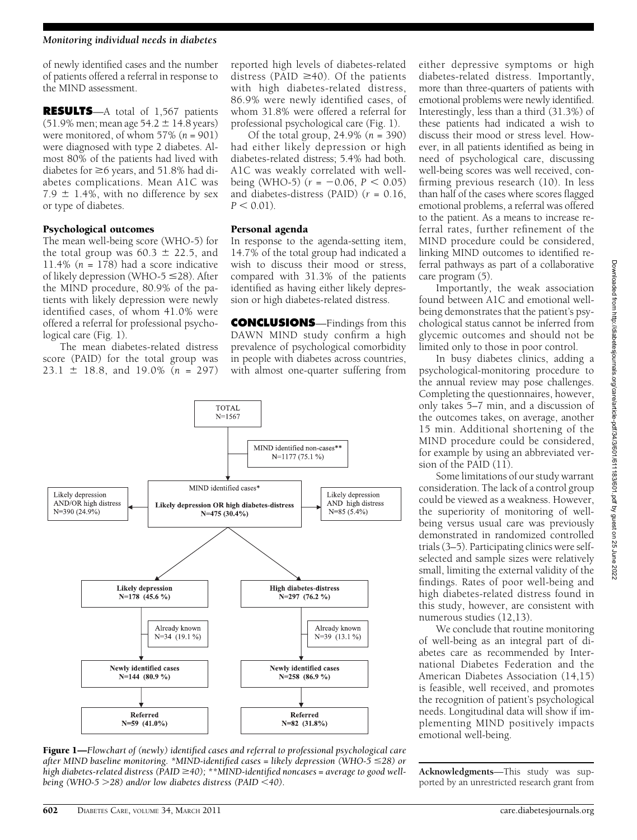#### Monitoring individual needs in diabetes

of newly identified cases and the number of patients offered a referral in response to the MIND assessment.

RESULTS—A total of 1,567 patients (51.9% men; mean age 54.2  $\pm$  14.8 years) were monitored, of whom  $57\%$  ( $n = 901$ ) were diagnosed with type 2 diabetes. Almost 80% of the patients had lived with diabetes for  $\geq$ 6 years, and 51.8% had diabetes complications. Mean A1C was 7.9  $\pm$  1.4%, with no difference by sex or type of diabetes.

## Psychological outcomes

The mean well-being score (WHO-5) for the total group was  $60.3 \pm 22.5$ , and 11.4% ( $n = 178$ ) had a score indicative of likely depression (WHO-5  $\leq$ 28). After the MIND procedure, 80.9% of the patients with likely depression were newly identified cases, of whom 41.0% were offered a referral for professional psychological care (Fig. 1).

The mean diabetes-related distress score (PAID) for the total group was  $23.1 \pm 18.8$ , and  $19.0\%$  (n = 297) reported high levels of diabetes-related distress (PAID  $\geq$ 40). Of the patients with high diabetes-related distress, 86.9% were newly identified cases, of whom 31.8% were offered a referral for professional psychological care (Fig. 1).

Of the total group,  $24.9\%$  ( $n = 390$ ) had either likely depression or high diabetes-related distress; 5.4% had both. A1C was weakly correlated with wellbeing (WHO-5)  $(r = -0.06, P < 0.05)$ and diabetes-distress (PAID)  $(r = 0.16,$  $P < 0.01$ ).

#### Personal agenda

In response to the agenda-setting item, 14.7% of the total group had indicated a wish to discuss their mood or stress, compared with 31.3% of the patients identified as having either likely depression or high diabetes-related distress.

CONCLUSIONS—Findings from this DAWN MIND study confirm a high prevalence of psychological comorbidity in people with diabetes across countries, with almost one-quarter suffering from



**Figure 1—Flowchart of (newly) identified cases and referral to professional psychological care** after MIND baseline monitoring. \*MIND-identified cases = likely depression (WHO-5  $\leq$ 28) or high diabetes-related distress ( $\widetilde{PAID} \geq 40$ ); \*\*MIND-identified noncases = average to good wellbeing (WHO-5  $>$  28) and/or low diabetes distress (PAID <40).

either depressive symptoms or high diabetes-related distress. Importantly, more than three-quarters of patients with emotional problems were newly identified. Interestingly, less than a third (31.3%) of these patients had indicated a wish to discuss their mood or stress level. However, in all patients identified as being in need of psychological care, discussing well-being scores was well received, confirming previous research (10). In less than half of the cases where scores flagged emotional problems, a referral was offered to the patient. As a means to increase referral rates, further refinement of the MIND procedure could be considered, linking MIND outcomes to identified referral pathways as part of a collaborative care program (5).

Importantly, the weak association found between A1C and emotional wellbeing demonstrates that the patient's psychological status cannot be inferred from glycemic outcomes and should not be limited only to those in poor control.

In busy diabetes clinics, adding a psychological-monitoring procedure to the annual review may pose challenges. Completing the questionnaires, however, only takes 5–7 min, and a discussion of the outcomes takes, on average, another 15 min. Additional shortening of the MIND procedure could be considered, for example by using an abbreviated version of the PAID (11).

Some limitations of our study warrant consideration. The lack of a control group could be viewed as a weakness. However, the superiority of monitoring of wellbeing versus usual care was previously demonstrated in randomized controlled trials (3–5). Participating clinics were selfselected and sample sizes were relatively small, limiting the external validity of the findings. Rates of poor well-being and high diabetes-related distress found in this study, however, are consistent with numerous studies (12,13).

We conclude that routine monitoring of well-being as an integral part of diabetes care as recommended by International Diabetes Federation and the American Diabetes Association (14,15) is feasible, well received, and promotes the recognition of patient's psychological needs. Longitudinal data will show if implementing MIND positively impacts emotional well-being.

Acknowledgments—This study was supported by an unrestricted research grant from